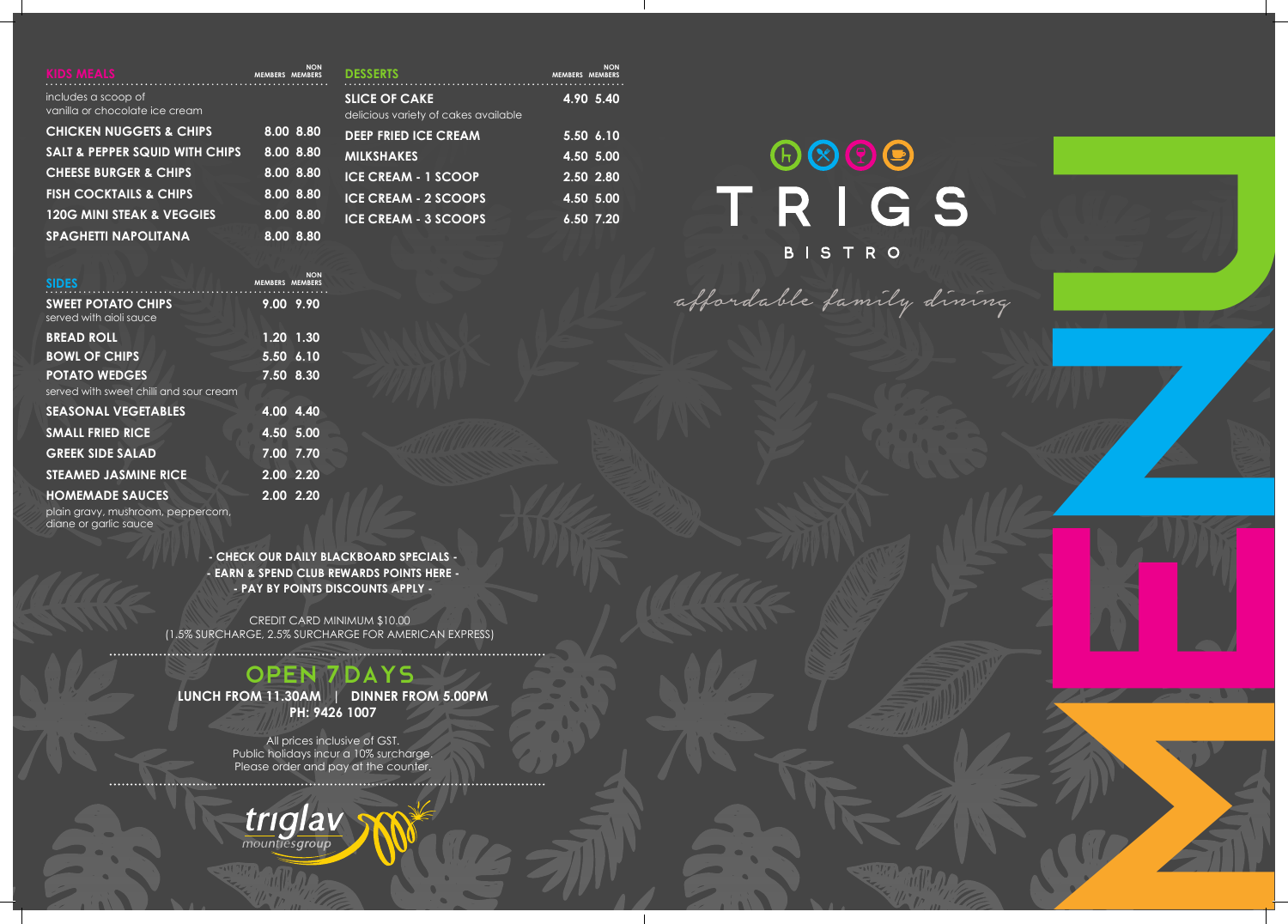**- CHECK OUR DAILY BLACKBOARD SPECIALS - - EARN & SPEND CLUB REWARDS POINTS HERE - - PAY BY POINTS DISCOUNTS APPLY -**

## Open **7** Days

**LUNCH FROM 11.30AM | DINNER FROM 5.00PM PH: 9426 1007**

All prices inclusive of GST. Public holidays incur a 10% surcharge. Please order and pay at the counter. 



CREDIT CARD MINIMUM \$10.00 (1.5% SURCHARGE, 2.5% SURCHARGE FOR AMERICAN EXPRESS)

|  | <b>DESSERTS</b> |
|--|-----------------|
|  |                 |
|  |                 |

| .                                    |                        |  |
|--------------------------------------|------------------------|--|
| <b>SLICE OF CAKE</b>                 | 4.90 5.40              |  |
| delicious variety of cakes available |                        |  |
| <b>DEEP FRIED ICE CREAM</b>          | $\overline{5.50}$ 6.10 |  |
| <b>MILKSHAKES</b>                    | $4.50$ 5.00            |  |
| <b>ICE CREAM - 1 SCOOP</b>           | $\overline{2.50}$ 2.80 |  |
| <b>ICE CREAM - 2 SCOOPS</b>          | 4.50 5.00              |  |
| <b>ICE CREAM - 3 SCOOPS</b>          | $6.50$ 7.20            |  |
|                                      |                        |  |

ain gravy, mushroom, peppercorn, diane or garlic sauce

| <b>KIDS MEALS</b>                                     | <b>MEMBERS MEMBERS</b> | NON                                 |
|-------------------------------------------------------|------------------------|-------------------------------------|
| includes a scoop of<br>vanilla or chocolate ice cream |                        |                                     |
| <b>CHICKEN NUGGETS &amp; CHIPS</b>                    |                        | $\overline{8.00}$ $\overline{8.80}$ |
| <b>SALT &amp; PEPPER SQUID WITH CHIPS</b>             |                        | 8.00 8.80                           |
| <b>CHEESE BURGER &amp; CHIPS</b>                      |                        | 8.00 8.80                           |
| <b>FISH COCKTAILS &amp; CHIPS</b>                     |                        | 8.00 8.80                           |
| <b>120G MINI STEAK &amp; VEGGIES</b>                  |                        | 8.00 8.80                           |
| <b>SPAGHETTI NAPOLITANA</b>                           |                        | 8.00 8.80                           |

| <b>SIDES</b>                                         | NON<br><b>MEMBERS MEMBERS</b> |
|------------------------------------------------------|-------------------------------|
| <b>SWEET POTATO CHIPS</b><br>served with aioli sauce | 9.00 9.90                     |
| <b>BREAD ROLL</b>                                    | 1.20 1.30                     |
| <b>BOWL OF CHIPS</b>                                 | 5.50 6.10                     |
| <b>POTATO WEDGES</b>                                 | 7.50 8.30                     |
| served with sweet chilli and sour cream              |                               |
| <b>SEASONAL VEGETABLES</b>                           | 4.00 4.40                     |
| <b>SMALL FRIED RICE</b>                              | 4.50 5.00                     |
| <b>GREEK SIDE SALAD</b>                              | 7.00 7.70                     |
| <b>STEAMED JASMINE RICE</b>                          | $2.00$ 2.20                   |
| <b>HOMEMADE SAUCES</b>                               | 2.00 2.20                     |
| plain arause mushroom popporoorn                     |                               |

 **NON MEMBERS MEMBERS**

## TRIGS BISTRO

affordable family dining